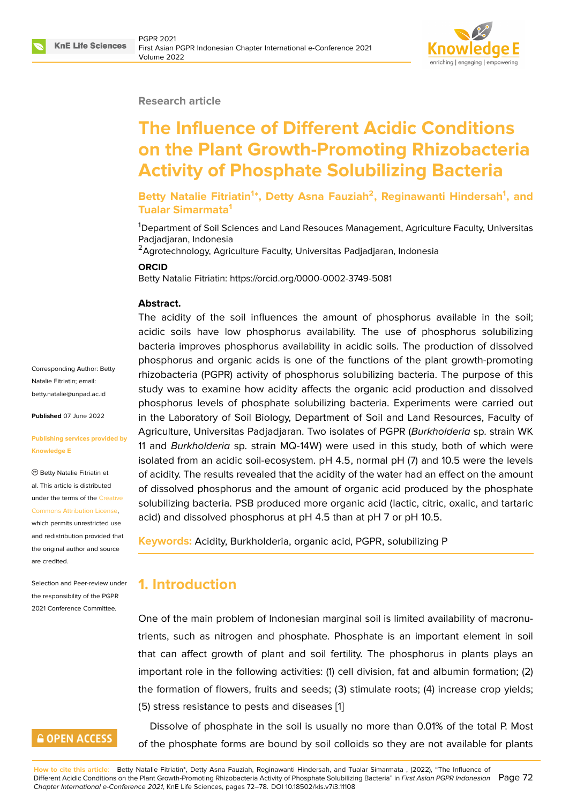

#### **Research article**

# **The Influence of Different Acidic Conditions on the Plant Growth-Promoting Rhizobacteria Activity of Phosphate Solubilizing Bacteria**

**Betty Natalie Fitriatin<sup>1</sup> \*, Detty Asna Fauziah<sup>2</sup> , Reginawanti Hindersah<sup>1</sup> , and Tualar Simarmata<sup>1</sup>**

<sup>1</sup>Department of Soil Sciences and Land Resouces Management, Agriculture Faculty, Universitas Padjadjaran, Indonesia

<sup>2</sup> Agrotechnology, Agriculture Faculty, Universitas Padjadjaran, Indonesia

#### **ORCID**

Betty Natalie Fitriatin: https://orcid.org/0000-0002-3749-5081

#### **Abstract.**

The acidity of the soil influences the amount of phosphorus available in the soil; acidic soils have low phosphorus availability. The use of phosphorus solubilizing bacteria improves phosphorus availability in acidic soils. The production of dissolved phosphorus and organic acids is one of the functions of the plant growth-promoting rhizobacteria (PGPR) activity of phosphorus solubilizing bacteria. The purpose of this study was to examine how acidity affects the organic acid production and dissolved phosphorus levels of phosphate solubilizing bacteria. Experiments were carried out in the Laboratory of Soil Biology, Department of Soil and Land Resources, Faculty of Agriculture, Universitas Padjadjaran. Two isolates of PGPR (*Burkholderia* sp. strain WK 11 and *Burkholderia* sp. strain MQ-14W) were used in this study, both of which were isolated from an acidic soil-ecosystem. pH 4.5, normal pH (7) and 10.5 were the levels of acidity. The results revealed that the acidity of the water had an effect on the amount of dissolved phosphorus and the amount of organic acid produced by the phosphate solubilizing bacteria. PSB produced more organic acid (lactic, citric, oxalic, and tartaric acid) and dissolved phosphorus at pH 4.5 than at pH 7 or pH 10.5.

**Keywords:** Acidity, Burkholderia, organic acid, PGPR, solubilizing P

# **1. Introduction**

One of the main problem of Indonesian marginal soil is limited availability of macronutrients, such as nitrogen and phosphate. Phosphate is an important element in soil that can affect growth of plant and soil fertility. The phosphorus in plants plays an important role in the following activities: (1) cell division, fat and albumin formation; (2) the formation of flowers, fruits and seeds; (3) stimulate roots; (4) increase crop yields; (5) stress resistance to pests and diseases [1]

Dissolve of phosphate in the soil is usually no more than 0.01% of the total P. Most of the phosphate forms are bound by soil [co](#page-5-0)lloids so they are not available for plants

**How to cite this article**: Betty Natalie Fitriatin\*, Detty Asna Fauziah, Reginawanti Hindersah, and Tualar Simarmata , (2022), "The Influence of Different Acidic Conditions on the Plant Growth-Promoting Rhizobacteria Activity of Phosphate Solubilizing Bacteria" in *First Asian PGPR Indonesian* Page 72 *Chapter International e-Conference 2021*, KnE Life Sciences, pages 72–78. DOI 10.18502/kls.v7i3.11108

Corresponding Author: Betty Natalie Fitriatin; email: betty.natalie@unpad.ac.id

**Published** 07 June 2022

#### **[Publishing services provi](mailto:betty.natalie@unpad.ac.id)ded by Knowledge E**

Betty Natalie Fitriatin et al. This article is distributed under the terms of the Creative Commons Attribution License,

which permits unrestricted use and redistribution provided that the original author and [source](https://creativecommons.org/licenses/by/4.0/) [are credited.](https://creativecommons.org/licenses/by/4.0/)

Selection and Peer-review under the responsibility of the PGPR 2021 Conference Committee.

# **GOPEN ACCESS**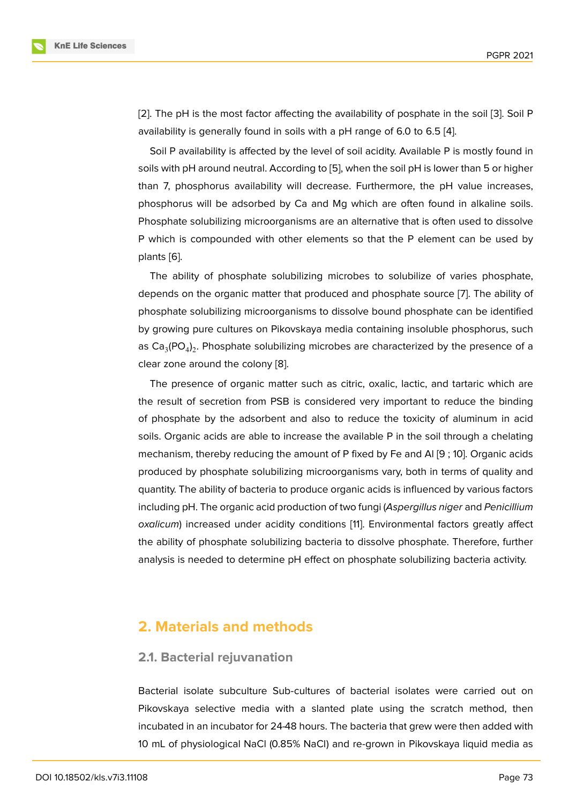[2]. The pH is the most factor affecting the availability of posphate in the soil [3]. Soil P availability is generally found in soils with a pH range of 6.0 to 6.5 [4].

Soil P availability is affected by the level of soil acidity. Available P is mostly found in [so](#page-5-1)ils with pH around neutral. According to [5], when the soil pH is lower than 5 [or](#page-5-2) higher than 7, phosphorus availability will decrease. Furthermore, the p[H](#page-5-3) value increases, phosphorus will be adsorbed by Ca and Mg which are often found in alkaline soils. Phosphate solubilizing microorganisms ar[e a](#page-5-4)n alternative that is often used to dissolve P which is compounded with other elements so that the P element can be used by plants [6].

The ability of phosphate solubilizing microbes to solubilize of varies phosphate, depends on the organic matter that produced and phosphate source [7]. The ability of phosp[ha](#page-5-5)te solubilizing microorganisms to dissolve bound phosphate can be identified by growing pure cultures on Pikovskaya media containing insoluble phosphorus, such as Ca $_3$ (PO $_4)_2$ . Phosphate solubilizing microbes are characterized by t[he](#page-5-6) presence of a clear zone around the colony [8].

The presence of organic matter such as citric, oxalic, lactic, and tartaric which are the result of secretion from PSB is considered very important to reduce the binding of phosphate by the adsorbe[nt](#page-5-7) and also to reduce the toxicity of aluminum in acid soils. Organic acids are able to increase the available P in the soil through a chelating mechanism, thereby reducing the amount of P fixed by Fe and Al [9 ; 10]. Organic acids produced by phosphate solubilizing microorganisms vary, both in terms of quality and quantity. The ability of bacteria to produce organic acids is influenced by various factors including pH. The organic acid production of two fungi (*Aspergillus niger* and *Penicillium oxalicum*) increased under acidity conditions [11]. Environmental factors greatly affect the ability of phosphate solubilizing bacteria to dissolve phosphate. Therefore, further analysis is needed to determine pH effect on phosphate solubilizing bacteria activity.

## **2. Materials and methods**

## **2.1. Bacterial rejuvanation**

Bacterial isolate subculture Sub-cultures of bacterial isolates were carried out on Pikovskaya selective media with a slanted plate using the scratch method, then incubated in an incubator for 24-48 hours. The bacteria that grew were then added with 10 mL of physiological NaCl (0.85% NaCl) and re-grown in Pikovskaya liquid media as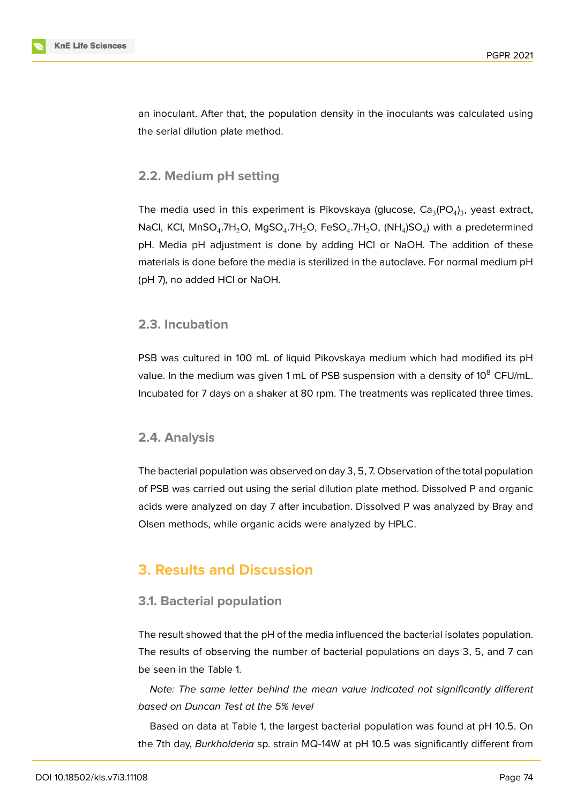

an inoculant. After that, the population density in the inoculants was calculated using the serial dilution plate method.

### **2.2. Medium pH setting**

The media used in this experiment is Pikovskaya (glucose,  $\text{Ca}_{3}(\text{PO}_{4})_{3}$ , yeast extract, NaCl, KCl, MnSO $_4$ .7H $_2$ O, MgSO $_4$ .7H $_2$ O, FeSO $_4$ .7H $_2$ O, (NH $_4$ )SO $_4$ ) with a predetermined pH. Media pH adjustment is done by adding HCl or NaOH. The addition of these materials is done before the media is sterilized in the autoclave. For normal medium pH (pH 7), no added HCl or NaOH.

## **2.3. Incubation**

PSB was cultured in 100 mL of liquid Pikovskaya medium which had modified its pH value. In the medium was given 1 mL of PSB suspension with a density of  $10^8$  CFU/mL. Incubated for 7 days on a shaker at 80 rpm. The treatments was replicated three times.

### **2.4. Analysis**

The bacterial population was observed on day 3, 5, 7. Observation of the total population of PSB was carried out using the serial dilution plate method. Dissolved P and organic acids were analyzed on day 7 after incubation. Dissolved P was analyzed by Bray and Olsen methods, while organic acids were analyzed by HPLC.

# **3. Results and Discussion**

### **3.1. Bacterial population**

The result showed that the pH of the media influenced the bacterial isolates population. The results of observing the number of bacterial populations on days 3, 5, and 7 can be seen in the Table 1.

*Note: The same letter behind the mean value indicated not significantly different based on Duncan Test at the 5% level*

Based on data at Table 1, the largest bacterial population was found at pH 10.5. On the 7th day, *Burkholderia* sp. strain MQ-14W at pH 10.5 was significantly different from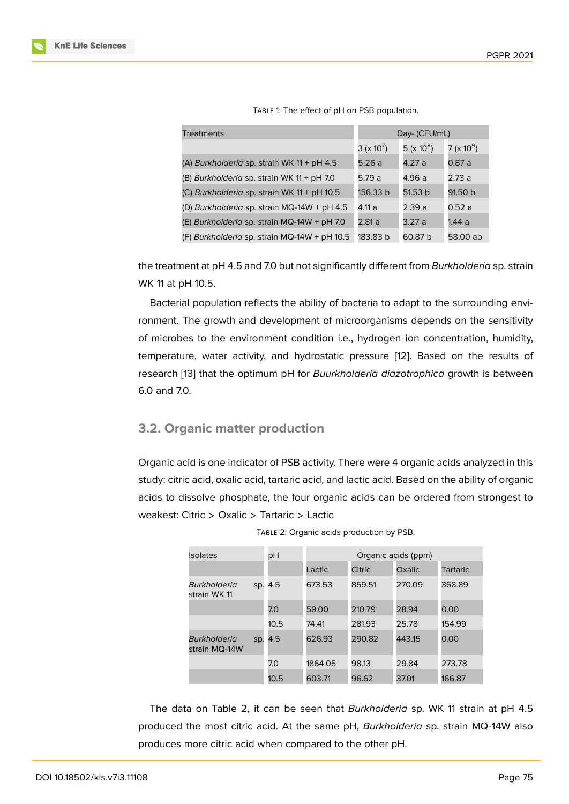| <b>Treatments</b>                            | Day- (CFU/mL)                  |               |                  |
|----------------------------------------------|--------------------------------|---------------|------------------|
|                                              | 3 ( $\times$ 10 <sup>7</sup> ) | 5 (x $10^8$ ) | 7 (x 10 $^{9}$ ) |
| (A) Burkholderia sp. strain WK $11 + pH 4.5$ | 5.26a                          | 4.27 a        | 0.87a            |
| (B) Burkholderia sp. strain WK 11 + pH 7.0   | 5.79a                          | 4.96 a        | 2.73a            |
| (C) Burkholderia sp. strain WK 11 + pH 10.5  | 156.33 b                       | 51.53 b       | 91.50 b          |
| (D) Burkholderia sp. strain MQ-14W + pH 4.5  | 4.11a                          | 2.39a         | 0.52a            |
| (E) Burkholderia sp. strain MQ-14W + pH 7.0  | 2.81a                          | 3.27a         | 1.44 ล           |
| (F) Burkholderia sp. strain MQ-14W + pH 10.5 | 183.83 b                       | 60.87 b       | 58.00 ab         |

TABLE 1: The effect of pH on PSB population.

the treatment at pH 4.5 and 7.0 but not significantly different from *Burkholderia* sp. strain WK 11 at pH 10.5.

Bacterial population reflects the ability of bacteria to adapt to the surrounding environment. The growth and development of microorganisms depends on the sensitivity of microbes to the environment condition i.e., hydrogen ion concentration, humidity, temperature, water activity, and hydrostatic pressure [12]. Based on the results of research [13] that the optimum pH for *Buurkholderia diazotrophica* growth is between 6.0 and 7.0.

### **3.2. Or[ga](#page-6-0)nic matter production**

Organic acid is one indicator of PSB activity. There were 4 organic acids analyzed in this study: citric acid, oxalic acid, tartaric acid, and lactic acid. Based on the ability of organic acids to dissolve phosphate, the four organic acids can be ordered from strongest to weakest: Citric > Oxalic > Tartaric > Lactic

| <b>Isolates</b>               |     | рH   | Organic acids (ppm) |               |        |                 |  |
|-------------------------------|-----|------|---------------------|---------------|--------|-----------------|--|
|                               |     |      | Lactic              | <b>Citric</b> | Oxalic | <b>Tartaric</b> |  |
| Burkholderia<br>strain WK 11  | SD. | 4.5  | 673.53              | 859.51        | 270.09 | 368.89          |  |
|                               |     | 7.0  | 59.00               | 210.79        | 28.94  | 0.00            |  |
|                               |     | 10.5 | 74.41               | 281.93        | 25.78  | 154.99          |  |
| Burkholderia<br>strain MQ-14W | SD. | 4.5  | 626.93              | 290.82        | 443.15 | 0.00            |  |
|                               |     | 7.0  | 1864.05             | 98.13         | 29.84  | 273.78          |  |
|                               |     | 10.5 | 603.71              | 96.62         | 37.01  | 166.87          |  |

TABLE 2: Organic acids production by PSB.

The data on Table 2, it can be seen that *Burkholderia* sp. WK 11 strain at pH 4.5 produced the most citric acid. At the same pH, *Burkholderia* sp. strain MQ-14W also produces more citric acid when compared to the other pH.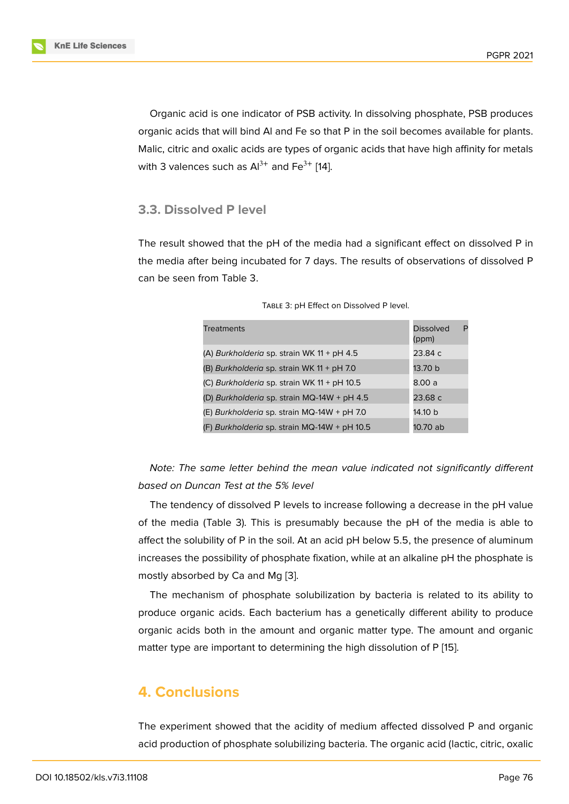Organic acid is one indicator of PSB activity. In dissolving phosphate, PSB produces organic acids that will bind Al and Fe so that P in the soil becomes available for plants. Malic, citric and oxalic acids are types of organic acids that have high affinity for metals with 3 valences such as  $Al^{3+}$  and Fe<sup>3+</sup> [14].

## **3.3. Dissolved P level**

The result showed that the pH of the media had a significant effect on dissolved P in the media after being incubated for 7 days. The results of observations of dissolved P can be seen from Table 3.

| <b>Treatments</b>                            | <b>Dissolved</b><br>P<br>(ppm) |
|----------------------------------------------|--------------------------------|
| (A) Burkholderia sp. strain WK 11 + pH 4.5   | 23.84 c                        |
| (B) Burkholderia sp. strain WK 11 + pH 7.0   | 13.70 b                        |
| (C) Burkholderia sp. strain WK 11 + pH 10.5  | 8.00 a                         |
| (D) Burkholderia sp. strain MQ-14W + pH 4.5  | 23.68 c                        |
| (E) Burkholderia sp. strain MQ-14W + pH 7.0  | 14.10 b                        |
| (F) Burkholderia sp. strain MQ-14W + pH 10.5 | 10.70 ab                       |

| TABLE 3: pH Effect on Dissolved P level. |  |
|------------------------------------------|--|
|------------------------------------------|--|

*Note: The same letter behind the mean value indicated not significantly different based on Duncan Test at the 5% level*

The tendency of dissolved P levels to increase following a decrease in the pH value of the media (Table 3). This is presumably because the pH of the media is able to affect the solubility of P in the soil. At an acid pH below 5.5, the presence of aluminum increases the possibility of phosphate fixation, while at an alkaline pH the phosphate is mostly absorbed by Ca and Mg [3].

The mechanism of phosphate solubilization by bacteria is related to its ability to produce organic acids. Each bacterium has a genetically different ability to produce organic acids both in the amou[nt](#page-5-2) and organic matter type. The amount and organic matter type are important to determining the high dissolution of P [15].

# **4. Conclusions**

The experiment showed that the acidity of medium affected dissolved P and organic acid production of phosphate solubilizing bacteria. The organic acid (lactic, citric, oxalic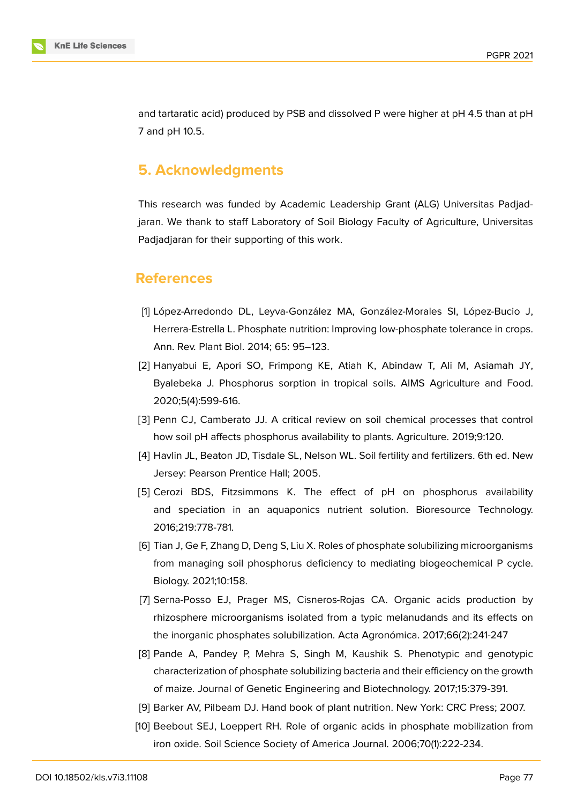

and tartaratic acid) produced by PSB and dissolved P were higher at pH 4.5 than at pH 7 and pH 10.5.

# **5. Acknowledgments**

This research was funded by Academic Leadership Grant (ALG) Universitas Padjadjaran. We thank to staff Laboratory of Soil Biology Faculty of Agriculture, Universitas Padjadjaran for their supporting of this work.

# **References**

- <span id="page-5-0"></span>[1] López-Arredondo DL, Leyva-González MA, González-Morales SI, López-Bucio J, Herrera-Estrella L. Phosphate nutrition: Improving low-phosphate tolerance in crops. Ann. Rev. Plant Biol. 2014; 65: 95–123.
- <span id="page-5-1"></span>[2] Hanyabui E, Apori SO, Frimpong KE, Atiah K, Abindaw T, Ali M, Asiamah JY, Byalebeka J. Phosphorus sorption in tropical soils. AIMS Agriculture and Food. 2020;5(4):599-616.
- <span id="page-5-2"></span>[3] Penn CJ, Camberato JJ. A critical review on soil chemical processes that control how soil pH affects phosphorus availability to plants. Agriculture. 2019;9:120.
- <span id="page-5-3"></span>[4] Havlin JL, Beaton JD, Tisdale SL, Nelson WL. Soil fertility and fertilizers. 6th ed. New Jersey: Pearson Prentice Hall; 2005.
- <span id="page-5-4"></span>[5] Cerozi BDS, Fitzsimmons K. The effect of pH on phosphorus availability and speciation in an aquaponics nutrient solution. Bioresource Technology. 2016;219:778-781.
- <span id="page-5-5"></span>[6] Tian J, Ge F, Zhang D, Deng S, Liu X. Roles of phosphate solubilizing microorganisms from managing soil phosphorus deficiency to mediating biogeochemical P cycle. Biology. 2021;10:158.
- <span id="page-5-6"></span>[7] Serna-Posso EJ, Prager MS, Cisneros-Rojas CA. Organic acids production by rhizosphere microorganisms isolated from a typic melanudands and its effects on the inorganic phosphates solubilization. Acta Agronómica. 2017;66(2):241-247
- <span id="page-5-7"></span>[8] Pande A, Pandey P, Mehra S, Singh M, Kaushik S. Phenotypic and genotypic characterization of phosphate solubilizing bacteria and their efficiency on the growth of maize. Journal of Genetic Engineering and Biotechnology. 2017;15:379-391.
- [9] Barker AV, Pilbeam DJ. Hand book of plant nutrition. New York: CRC Press; 2007.
- [10] Beebout SEJ, Loeppert RH. Role of organic acids in phosphate mobilization from iron oxide. Soil Science Society of America Journal. 2006;70(1):222-234.